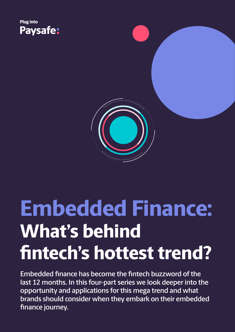



**Embedded finance has become the fintech buzzword of the last 12 months. In this four-part series we look deeper into the opportunity and applications for this mega trend and what brands should consider when they embark on their embedded finance journey.**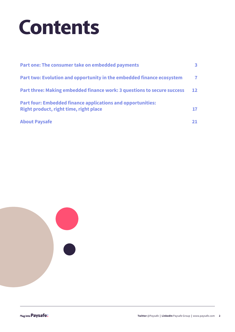### **Contents**

| Part one: The consumer take on embedded payments                                                             | З.                |
|--------------------------------------------------------------------------------------------------------------|-------------------|
| Part two: Evolution and opportunity in the embedded finance ecosystem                                        | $\mathbf{7}$      |
| Part three: Making embedded finance work: 3 questions to secure success                                      | $12 \overline{ }$ |
| <b>Part four: Embedded finance applications and opportunities:</b><br>Right product, right time, right place |                   |
| <b>About Paysafe</b>                                                                                         | 21.               |

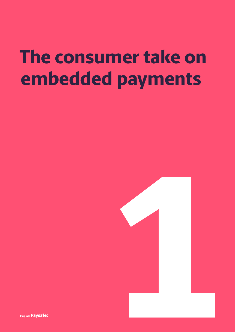### **The consumer take on embedded payments**



Plug into Paysafe: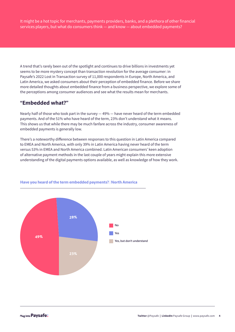It might be a hot topic for merchants, payments providers, banks, and a plethora of other financial services players, but what do consumers think — and know — about embedded payments?

A trend that's rarely been out of the spotlight and continues to drive billions in investments yet seems to be more mystery concept than transaction revolution for the average consumer: in Paysafe's 2022 Lost in Transaction survey of 11,000 respondents in Europe, North America, and Latin America, we asked consumers about their perception of embedded finance. Before we share more detailed thoughts about embedded finance from a business perspective, we explore some of the perceptions among consumer audiences and see what the results mean for merchants.

#### **"Embedded what?"**

Nearly half of those who took part in the survey — 49% — have never heard of the term embedded payments. And of the 51% who have heard of the term, 23% don't understand what it means. This shows us that while there may be much fanfare across the industry, consumer awareness of embedded payments is generally low.

There's a noteworthy difference between responses to this question in Latin America compared to EMEA and North America, with only 39% in Latin America having never heard of the term versus 53% in EMEA and North America combined. Latin American consumers' keen adoption of alternative payment methods in the last couple of years might explain this more extensive understanding of the digital payments options available, as well as knowledge of how they work.



#### **Have you heard of the term embedded payments? | North America**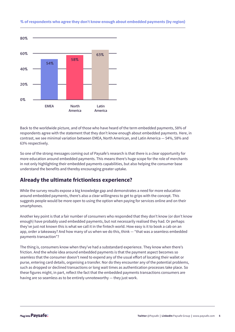

#### **% of respondents who agree they don't know enough about embedded payments (by region)**

Back to the worldwide picture, and of those who have heard of the term embedded payments, 58% of respondents agree with the statement that they don't know enough about embedded payments. Here, in contrast, we see minimal variation between EMEA, North American, and Latin America — 54%, 58% and 63% respectively.

So one of the strong messages coming out of Paysafe's research is that there is a clear opportunity for more education around embedded payments. This means there's huge scope for the role of merchants in not only highlighting their embedded payments capabilities, but also helping the consumer base understand the benefits and thereby encouraging greater uptake.

#### **Already the ultimate frictionless experience?**

While the survey results expose a big knowledge gap and demonstrates a need for more education around embedded payments, there's also a clear willingness to get to grips with the concept. This suggests people would be more open to using the option when paying for services online and on their smartphones.

Another key point is that a fair number of consumers who responded that they don't know (or don't know enough) have probably used embedded payments, but not necessarily realised they had. Or perhaps they've just not known this is what we call it in the fintech world. How easy is it to book a cab on an app, order a takeaway? And how many of us when we do this, think — "that was a seamless embedded payments transaction"?

The thing is, consumers know when they've had a substandard experience. They know when there's friction. And the whole idea around embedded payments is that the payment aspect becomes so seamless that the consumer doesn't need to expend any of the usual effort of locating their wallet or purse, entering card details, organising a transfer. Nor do they encounter any of the potential problems, such as dropped or declined transactions or long wait times as authentication processes take place. So these figures might, in part, reflect the fact that the embedded payments transactions consumers are having are so seamless as to be entirely unnoteworthy — they just work.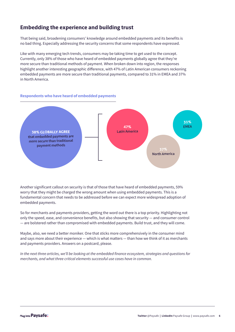#### **Embedding the experience and building trust**

That being said, broadening consumers' knowledge around embedded payments and its benefits is no bad thing. Especially addressing the security concerns that some respondents have expressed.

Like with many emerging tech trends, consumers may be taking time to get used to the concept. Currently, only 38% of those who have heard of embedded payments globally agree that they're more secure than traditional methods of payment. When broken down into region, the responses highlight another interesting geographic difference, with 47% of Latin American consumers reckoning embedded payments are more secure than traditional payments, compared to 31% in EMEA and 37% in North America.

#### **Respondents who have heard of embedded payments**



Another significant callout on security is that of those that have heard of embedded payments, 59% worry that they might be charged the wrong amount when using embedded payments. This is a fundamental concern that needs to be addressed before we can expect more widespread adoption of embedded payments.

So for merchants and payments providers, getting the word out there is a top priority. Highlighting not only the speed, ease, and convenience benefits, but also showing that security — and consumer control — are bolstered rather than compromised with embedded payments. Build trust, and they will come.

Maybe, also, we need a better moniker. One that sticks more comprehensively in the consumer mind and says more about their experience — which is what matters — than how we think of it as merchants and payments providers. Answers on a postcard, please.

*In the next three articles, we'll be looking at the embedded finance ecosystem, strategies and questions for merchants, and what three critical elements successful use cases have in common.*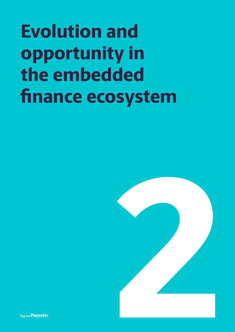## **Evolution and opportunity in the embedded finance ecosystem**



Plug into Pavsafe: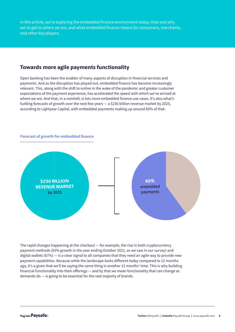In this article, we're exploring the embedded finance environment today. How and why we've got to where we are, and what embedded finance means for consumers, merchants, and other key players.

#### **Towards more agile payments functionality**

Open banking has been the enabler of many aspects of disruption in financial services and payments. And as the disruption has played out, embedded finance has become increasingly relevant. This, along with the shift to online in the wake of the pandemic and greater customer expectations of the payment experience, has accelerated the speed with which we've arrived at where we are. And that, in a nutshell, is lots more embedded finance use cases. It's also what's fuelling forecasts of growth over the next few years — a \$230 billion revenue market by 2025, according to Lightyear Capital, with embedded payments making up around 60% of that.



**Forecast of growth for embedded finance**

The rapid changes happening at the checkout — for example, the rise in both cryptocurrency payment methods (63% growth in the year ending October 2021, as we saw in our survey) and digital wallets (67%) — is a clear signal to all companies that they need an agile way to provide new payment capabilities. Because while the landscape looks different today compared to 12 months ago, it's a given that we'll be saying the same thing in another 12 months' time. This is why building financial functionality into their offerings — and by that we mean functionality that can change as demands do — is going to be essential for the vast majority of brands.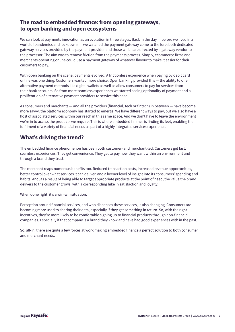#### **The road to embedded finance: from opening gateways, to open banking and open ecosystems**

We can look at payments innovation as an evolution in three stages. Back in the day — before we lived in a world of pandemics and lockdowns — we watched the payment gateway come to the fore: both dedicated gateway services provided by the payment provider and those which are directed by a gateway vendor to the processor. The aim was to remove friction from the payments process. Simply, ecommerce firms and merchants operating online could use a payment gateway of whatever flavour to make it easier for their customers to pay.

With open banking on the scene, payments evolved. A frictionless experience when paying by debit card online was one thing. Customers wanted more choice. Open banking provided this — the ability to offer alternative payment methods like digital wallets as well as allow consumers to pay for services from their bank accounts. So from more seamless experiences we started seeing optionality of payment and a proliferation of alternative payment providers to service this need.

As consumers and merchants — and all the providers (financial, tech or fintech) in between — have become more savvy, the platform economy has started to emerge. We have different ways to pay, but we also have a host of associated services within our reach in this same space. And we don't have to leave the environment we're in to access the products we require. This is where embedded finance is finding its feet, enabling the fulfilment of a variety of financial needs as part of a highly integrated services experience.

#### **What's driving the trend?**

The embedded finance phenomenon has been both customer- and merchant-led. Customers get fast, seamless experiences. They get convenience. They get to pay how they want within an environment and through a brand they trust.

The merchant reaps numerous benefits too. Reduced transaction costs, increased revenue opportunities, better control over what services it can deliver, and a keener level of insight into its consumers' spending and habits. And, as a result of being able to target appropriate products at the point of need, the value the brand delivers to the customer grows, with a corresponding hike in satisfaction and loyalty.

When done right, it's a win-win situation.

Perception around financial services, and who dispenses these services, is also changing. Consumers are becoming more used to sharing their data, especially if they get something in return. So, with the right incentives, they're more likely to be comfortable signing up to financial products through non-financial companies. Especially if that company is a brand they know and have had good experiences with in the past.

So, all-in, there are quite a few forces at work making embedded finance a perfect solution to both consumer and merchant needs.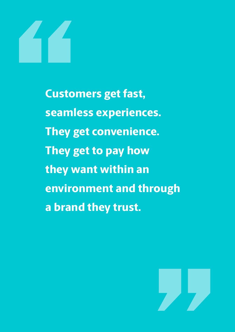

**Customers get fast, seamless experiences. They get convenience. They get to pay how they want within an environment and through a brand they trust.**

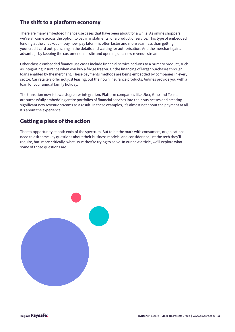#### **The shift to a platform economy**

There are many embedded finance use cases that have been about for a while. As online shoppers, we've all come across the option to pay in instalments for a product or service. This type of embedded lending at the checkout — buy now, pay later — is often faster and more seamless than getting your credit card out, punching in the details and waiting for authorisation. And the merchant gains advantage by keeping the customer on its site and opening up a new revenue stream.

Other classic embedded finance use cases include financial service add-ons to a primary product, such as integrating insurance when you buy a fridge freezer. Or the financing of larger purchases through loans enabled by the merchant. These payments methods are being embedded by companies in every sector. Car retailers offer not just leasing, but their own insurance products. Airlines provide you with a loan for your annual family holiday.

The transition now is towards greater integration. Platform companies like Uber, Grab and Toast, are successfully embedding entire portfolios of financial services into their businesses and creating significant new revenue streams as a result. In these examples, it's almost not about the payment at all. It's about the experience.

#### **Getting a piece of the action**

There's opportunity at both ends of the spectrum. But to hit the mark with consumers, organisations need to ask some key questions about their business models, and consider not just the tech they'll require, but, more critically, what issue they're trying to solve. In our next article, we'll explore what some of those questions are.

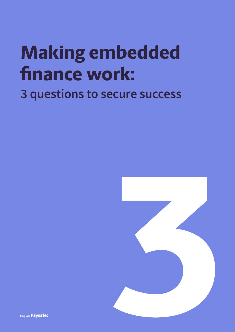### **Making embedded finance work: 3 questions to secure success**



Plug into Paysafe: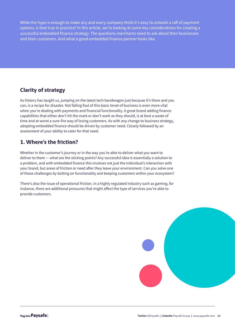While the hype is enough to make any and every company think it's easy to unleash a raft of payment options, is that true in practice? In this article, we're looking at some key considerations for creating a successful embedded finance strategy. The questions merchants need to ask about their businesses and their customers. And what a good embedded finance partner looks like.

### **Clarity of strategy**

As history has taught us, jumping on the latest tech bandwagon just because it's there and you can, is a recipe for disaster. Not falling foul of this basic tenet of business is even more vital when you're dealing with payments and financial functionality. A great brand adding finance capabilities that either don't hit the mark or don't work as they should, is at best a waste of time and at worst a sure-fire way of losing customers. As with any change to business strategy, adopting embedded finance should be driven by customer need. Closely followed by an assessment of your ability to cater for that need.

#### **1. Where's the friction?**

Whether in the customer's journey or in the way you're able to deliver what you want to deliver to them — what are the sticking points? Any successful idea is essentially a solution to a problem, and with embedded finance this involves not just the individual's interaction with your brand, but areas of friction or need after they leave your environment. Can you solve one of those challenges by bolting on functionality and keeping customers within your ecosystem?

There's also the issue of operational friction. In a highly regulated industry such as gaming, for instance, there are additional pressures that might affect the type of services you're able to provide customers.

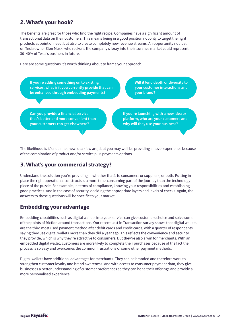#### **2. What's your hook?**

The benefits are great for those who find the right recipe. Companies have a significant amount of transactional data on their customers. This means being in a good position not only to target the right products at point of need, but also to create completely new revenue streams. An opportunity not lost on Tesla owner Elon Musk, who reckons the company's foray into the insurance market could represent 30–40% of Tesla's business in future.

Here are some questions it's worth thinking about to frame your approach.

**If you're adding something on to existing services, what is it you currently provide that can be enhanced through embedding payments?**

**Will it lend depth or diversity to your customer interactions and your brand?** 

**Can you provide a financial service that's better and more convenient than your customers can get elsewhere?**

**If you're launching with a new idea or platform, who are your customers and why will they use your business?** 

The likelihood is it's not a net new idea (few are), but you may well be providing a novel experience because of the combination of product and/or service plus payments options.

#### **3. What's your commercial strategy?**

Understand the solution you're providing — whether that's to consumers or suppliers, or both. Putting in place the right operational constructs is a more time-consuming part of the journey than the technology piece of the puzzle. For example, in terms of compliance, knowing your responsibilities and establishing good practices. And in the case of security, deciding the appropriate layers and levels of checks. Again, the answers to these questions will be specific to your market.

#### **Embedding your advantage**

Embedding capabilities such as digital wallets into your service can give customers choice and solve some of the points of friction around transactions. Our recent Lost in Transaction survey shows that digital wallets are the third most used payment method after debit cards and credit cards, with a quarter of respondents saying they use digital wallets more than they did a year ago. This reflects the convenience and security they provide, which is why they're attractive to consumers. But they're also a win for merchants. With an embedded digital wallet, customers are more likely to complete their purchases because of the fact the process is so easy and overcomes the common frustrations of some other payment methods.

Digital wallets have additional advantages for merchants. They can be branded and therefore work to strengthen customer loyalty and brand awareness. And with access to consumer payment data, they give businesses a better understanding of customer preferences so they can hone their offerings and provide a more personalised experience.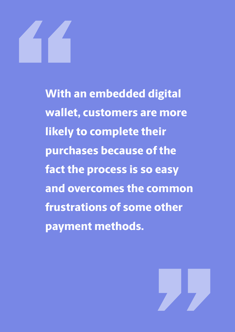**With an embedded digital wallet, customers are more likely to complete their purchases because of the fact the process is so easy and overcomes the common frustrations of some other payment methods.** 

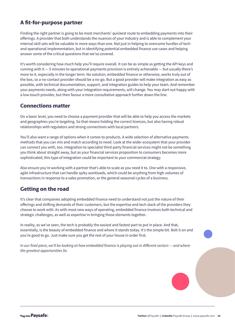#### **A fit-for-purpose partner**

Finding the right partner is going to be most merchants' quickest route to embedding payments into their offerings. A provider that both understands the nuances of your industry and is able to complement your internal skill sets will be valuable in more ways than one. Not just in helping to overcome hurdles of tech and operational implementation, but in identifying potential embedded finance use cases and helping answer some of the critical questions that we've covered.

It's worth considering how much help you'll require overall. It can be as simple as getting the API keys and running with it — 5 minutes to operational payments provision is entirely achievable — but usually there's more to it, especially in the longer term. No solution, embedded finance or otherwise, works truly out of the box, so a no-contact provider should be a no-go. But a good provider will make integration as easy as possible, with technical documentation, support, and integration guides to help your team. And remember your payments needs, along with your integration requirements, will change. You may start out happy with a low-touch provider, but then favour a more consultative approach further down the line.

#### **Connections matter**

On a basic level, you need to choose a payment provider that will be able to help you access the markets and geographies you're targeting. So that means holding the correct licences, but also having robust relationships with regulators and strong connections with local partners.

You'll also want a range of options when it comes to products. A wide selection of alternative payments methods that you can mix and match according to need. Look at the wider ecosystem that your provider can connect you with, too. Integration to specialist third-party financial services might not be something you think about straight away, but as your financial services proposition to consumers becomes more sophisticated, this type of integration could be important to your commercial strategy.

Also ensure you're working with a partner that's able to scale as you need it to. One with a responsive, agile infrastructure that can handle spiky workloads, which could be anything from high-volumes of transactions in response to a sales promotion, or the general seasonal cycles of a business.

#### **Getting on the road**

It's clear that companies adopting embedded finance need to understand not just the nature of their offerings and shifting demands of their customers, but the expertise and tech stack of the providers they choose to work with. As with most new ways of operating, embedded finance involves both technical and strategic challenges, as well as expertise in bringing those elements together.

In reality, as we've seen, the tech is probably the easiest and fastest part to put in place. And that, essentially, is the beauty of embedded finance and where it stands today. It's the simple bit. Bolt it on and you're good to go. Just make sure you get the rest of your house in order first.

In our final piece, we'll be looking at how embedded finance is playing out in different sectors — and where *the greatest opportunities lie.*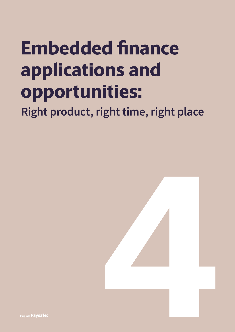# **Embedded finance applications and opportunities:**

**Right product, right time, right place**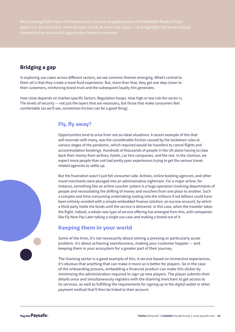#### **Bridging a gap**

In exploring use cases across different sectors, we see common themes emerging. What's central to them all is that they create a more fluid experience. But, more than that, they get one step closer to their customers, reinforcing brand trust and the subsequent loyalty this generates.

How close depends on market-specific factors. Regulation hoops. How high or low risk the sector is. The levels of security — not just the layers that are necessary, but those that make consumers feel comfortable (as we'll see, sometimes friction can be a good thing).

#### **Fly, fly away?**

Opportunities tend to arise from not-so-ideal situations. A recent example of this that will resonate with many, was the considerable friction caused by the lockdown rules at various stages of the pandemic, which required would-be travellers to cancel flights and accommodation bookings. Hundreds of thousands of people in the UK alone having to claw back their money from airlines, hotels, car hire companies, and the rest. In the clamour, we expect more people than not had pretty poor experiences trying to get the various travelrelated agencies to settle up.

But the frustration wasn't just felt consumer side. Airlines, online booking agencies, and other travel merchants were plunged into an administrative nightmare. For a major airline, for instance, something like an airline voucher system is a huge operation involving departments of people and necessitating the shifting of money and vouchers from one place to another. Such a complex and time-consuming undertaking costing into the millions if not billions could have been entirely avoided with a simple embedded finance solution: an escrow account, by which a third party holds the funds until the service is delivered. In this case, when the traveller takes the flight. Indeed, a whole new type of service offering has emerged from this, with companies like Fly Now Pay Later taking a single use case and making a brand out of it.

#### **Keeping them in your world**

Some of the time, it's not necessarily about solving a pressing or particularly acute problem. It's about achieving seamlessness, making your customer happier — and keeping them in your ecosystem for a greater part of their journey.

The iGaming sector is a good example of this. A service based on immersive experiences, it's obvious that anything that can make it more so is better for players. So in the case of the onboarding process, embedding a financial product can make this slicker by minimising the administration required to sign up new players. The player submits their details once and simultaneously registers with the iGaming merchant to get access to its services, as well as fulfilling the requirements for signing up to the digital wallet or other payment method that'll then be linked to their account.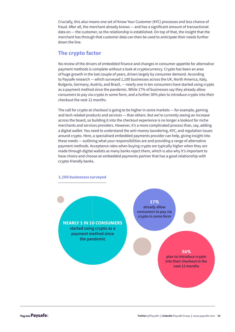Crucially, this also means one set of Know Your Customer (KYC) processes and less chance of fraud. After all, the merchant already knows — and has a significant amount of transactional data on — the customer, so the relationship is established. On top of that, the insight that the merchant has through that customer data can then be used to anticipate their needs further down the line.

#### **The crypto factor**

No review of the drivers of embedded finance and changes in consumer appetite for alternative payment methods is complete without a look at cryptocurrency. Crypto has been an area of huge growth in the last couple of years, driven largely by consumer demand. According to Paysafe research — which surveyed 1,100 businesses across the UK, North America, Italy, Bulgaria, Germany, Austria, and Brazil, — nearly one in ten consumers have started using crypto as a payment method since the pandemic. While 17% of businesses say they already allow consumers to pay via crypto in some form, and a further 36% plan to introduce crypto into their checkout the next 12 months.

The call for crypto at checkout is going to be higher in some markets — for example, gaming and tech-related products and services — than others. But we're currently seeing an increase across the board, so building it into the checkout experience is no longer a lookout for niche merchants and services providers. However, it's a more complicated process than, say, adding a digital wallet. You need to understand the anti-money laundering, KYC, and regulation issues around crypto. Here, a specialised embedded payments provider can help, giving insight into these needs — outlining what your responsibilities are and providing a range of alternative payment methods. Acceptance rates when buying crypto are typically higher when they are made through digital wallets as many banks reject them, which is also why it's important to have choice and choose an embedded payments partner that has a good relationship with crypto-friendly banks.



**NEARLY 1 IN 10 CONSUMERS started using crypto as a payment method since the pandemic**

**17% already allow consumers to pay via crypto in some form** 

### **36%**

**plan to introduce crypto into their checkout in the next 12 months**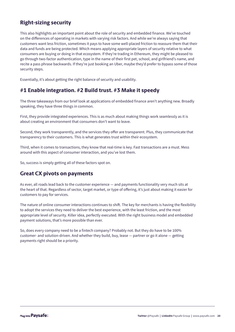#### **Right-sizing security**

This also highlights an important point about the role of security and embedded finance. We've touched on the differences of operating in markets with varying risk factors. And while we're always saying that customers want less friction, sometimes it pays to have some well-placed friction to reassure them that their data and funds are being protected. Which means applying appropriate layers of security relative to what consumers are buying or doing in that ecosystem. If they're trading in Ethereum, they might be pleased to go through two-factor authentication, type in the name of their first pet, school, and girlfriend's name, and recite a pass phrase backwards. If they're just booking an Uber, maybe they'd prefer to bypass some of those security steps.

Essentially, it's about getting the right balance of security and usability.

#### **#1 Enable integration. #2 Build trust. #3 Make it speedy**

The three takeaways from our brief look at applications of embedded finance aren't anything new. Broadly speaking, they have three things in common.

First, they provide integrated experiences. This is as much about making things work seamlessly as it is about creating an environment that consumers don't want to leave.

Second, they work transparently, and the services they offer are transparent. Plus, they communicate that transparency to their customers. This is what generates trust within their ecosystem.

Third, when it comes to transactions, they know that real-time is key. Fast transactions are a must. Mess around with this aspect of consumer interaction, and you've lost them.

So, success is simply getting all of these factors spot on.

#### **Great CX pivots on payments**

As ever, all roads lead back to the customer experience — and payments functionality very much sits at the heart of that. Regardless of sector, target market, or type of offering, it's just about making it easier for customers to pay for services.

The nature of online consumer interactions continues to shift. The key for merchants is having the flexibility to adopt the services they need to deliver the best experience, with the least friction, and the most appropriate level of security. Killer idea, perfectly executed. With the right business model and embedded payment solutions, that's more possible than ever.

So, does every company need to be a fintech company? Probably not. But they do have to be 100% customer- and solution-driven. And whether they build, buy, lease — partner or go it alone — getting payments right should be a priority.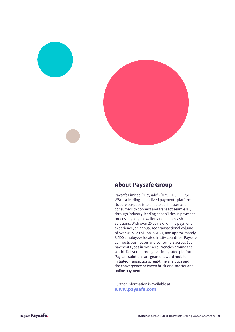

#### **About Paysafe Group**

Paysafe Limited ("Paysafe") (NYSE: PSFE) (PSFE. WS) is a leading specialized payments platform. Its core purpose is to enable businesses and consumers to connect and transact seamlessly through industry-leading capabilities in payment processing, digital wallet, and online cash solutions. With over 20 years of online payment experience, an annualized transactional volume of over US \$120 billion in 2021, and approximately 3,500 employees located in 10+ countries, Paysafe connects businesses and consumers across 100 payment types in over 40 currencies around the world. Delivered through an integrated platform, Paysafe solutions are geared toward mobileinitiated transactions, real-time analytics and the convergence between brick-and-mortar and online payments.

Further information is available at **www.paysafe.com**